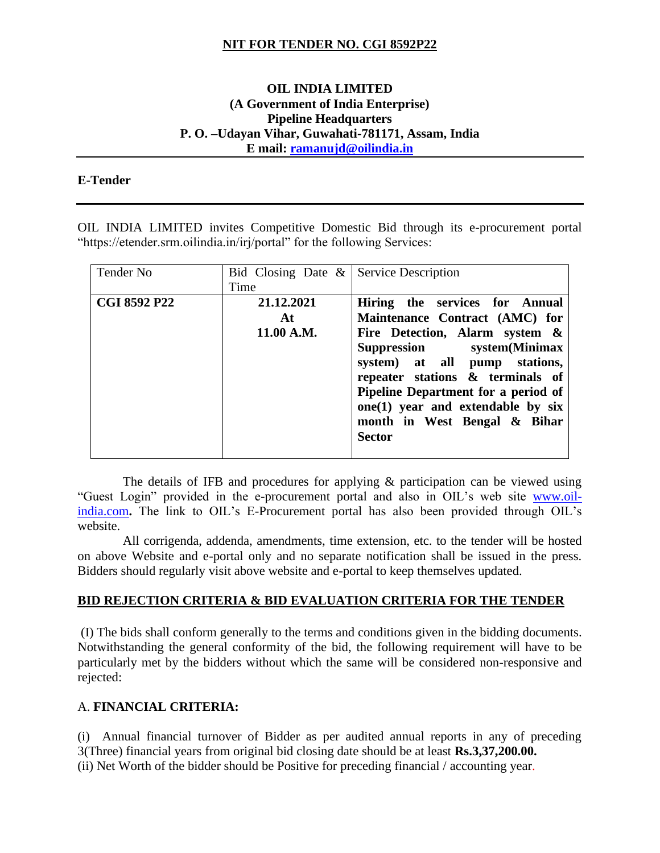## **NIT FOR TENDER NO. CGI 8592P22**

## **OIL INDIA LIMITED (A Government of India Enterprise) Pipeline Headquarters P. O. –Udayan Vihar, Guwahati-781171, Assam, India E mail: [ramanujd@oilindia.in](mailto:ramanujd@oilindia.in)**

#### **E-Tender**

OIL INDIA LIMITED invites Competitive Domestic Bid through its e-procurement portal "https://etender.srm.oilindia.in/irj/portal" for the following Services:

| Tender No           | Bid Closing Date $\&$ Service Description<br>Time |                                                                                                                                                                                                                                                                                                                                      |
|---------------------|---------------------------------------------------|--------------------------------------------------------------------------------------------------------------------------------------------------------------------------------------------------------------------------------------------------------------------------------------------------------------------------------------|
| <b>CGI 8592 P22</b> | 21.12.2021<br>At.<br>11.00 A.M.                   | Hiring the services for Annual<br>Maintenance Contract (AMC) for<br>Fire Detection, Alarm system &<br>Suppression system(Minimax<br>system) at all pump stations,<br>repeater stations & terminals of<br>Pipeline Department for a period of<br>$one(1)$ year and extendable by six<br>month in West Bengal & Bihar<br><b>Sector</b> |

The details of IFB and procedures for applying  $\&$  participation can be viewed using "Guest Login" provided in the e-procurement portal and also in OIL's web site [www.oil](http://www.oil-india.com/)[india.com](http://www.oil-india.com/). The link to OIL's E-Procurement portal has also been provided through OIL's website.

 All corrigenda, addenda, amendments, time extension, etc. to the tender will be hosted on above Website and e-portal only and no separate notification shall be issued in the press. Bidders should regularly visit above website and e-portal to keep themselves updated.

#### **BID REJECTION CRITERIA & BID EVALUATION CRITERIA FOR THE TENDER**

(I) The bids shall conform generally to the terms and conditions given in the bidding documents. Notwithstanding the general conformity of the bid, the following requirement will have to be particularly met by the bidders without which the same will be considered non-responsive and rejected:

### A. **FINANCIAL CRITERIA:**

(i) Annual financial turnover of Bidder as per audited annual reports in any of preceding 3(Three) financial years from original bid closing date should be at least **Rs.3,37,200.00.** (ii) Net Worth of the bidder should be Positive for preceding financial / accounting year.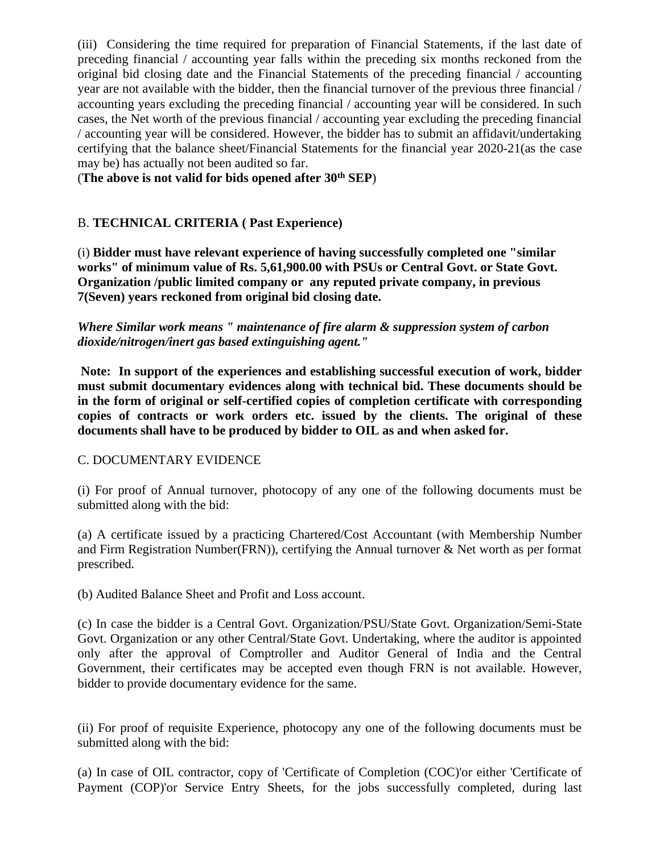(iii) Considering the time required for preparation of Financial Statements, if the last date of preceding financial / accounting year falls within the preceding six months reckoned from the original bid closing date and the Financial Statements of the preceding financial / accounting year are not available with the bidder, then the financial turnover of the previous three financial / accounting years excluding the preceding financial / accounting year will be considered. In such cases, the Net worth of the previous financial / accounting year excluding the preceding financial / accounting year will be considered. However, the bidder has to submit an affidavit/undertaking certifying that the balance sheet/Financial Statements for the financial year 2020-21(as the case may be) has actually not been audited so far.

(**The above is not valid for bids opened after 30th SEP**)

# B. **TECHNICAL CRITERIA ( Past Experience)**

(i) **Bidder must have relevant experience of having successfully completed one "similar works" of minimum value of Rs. 5,61,900.00 with PSUs or Central Govt. or State Govt. Organization /public limited company or any reputed private company, in previous 7(Seven) years reckoned from original bid closing date.**

*Where Similar work means " maintenance of fire alarm & suppression system of carbon dioxide/nitrogen/inert gas based extinguishing agent."*

**Note: In support of the experiences and establishing successful execution of work, bidder must submit documentary evidences along with technical bid. These documents should be in the form of original or self-certified copies of completion certificate with corresponding copies of contracts or work orders etc. issued by the clients. The original of these documents shall have to be produced by bidder to OIL as and when asked for.**

### C. DOCUMENTARY EVIDENCE

(i) For proof of Annual turnover, photocopy of any one of the following documents must be submitted along with the bid:

(a) A certificate issued by a practicing Chartered/Cost Accountant (with Membership Number and Firm Registration Number(FRN)), certifying the Annual turnover & Net worth as per format prescribed.

(b) Audited Balance Sheet and Profit and Loss account.

(c) In case the bidder is a Central Govt. Organization/PSU/State Govt. Organization/Semi-State Govt. Organization or any other Central/State Govt. Undertaking, where the auditor is appointed only after the approval of Comptroller and Auditor General of India and the Central Government, their certificates may be accepted even though FRN is not available. However, bidder to provide documentary evidence for the same.

(ii) For proof of requisite Experience, photocopy any one of the following documents must be submitted along with the bid:

(a) In case of OIL contractor, copy of 'Certificate of Completion (COC)'or either 'Certificate of Payment (COP)'or Service Entry Sheets, for the jobs successfully completed, during last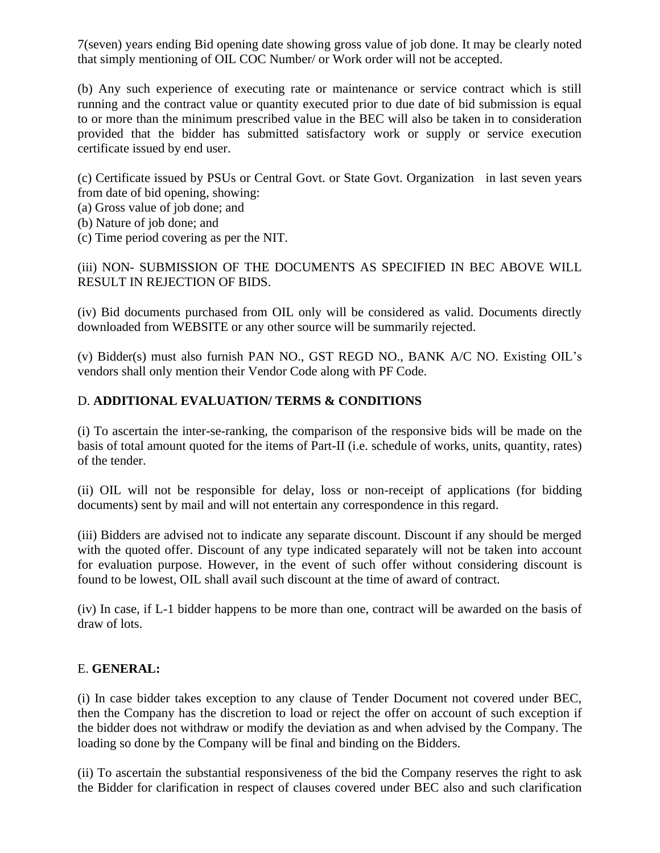7(seven) years ending Bid opening date showing gross value of job done. It may be clearly noted that simply mentioning of OIL COC Number/ or Work order will not be accepted.

(b) Any such experience of executing rate or maintenance or service contract which is still running and the contract value or quantity executed prior to due date of bid submission is equal to or more than the minimum prescribed value in the BEC will also be taken in to consideration provided that the bidder has submitted satisfactory work or supply or service execution certificate issued by end user.

(c) Certificate issued by PSUs or Central Govt. or State Govt. Organization in last seven years from date of bid opening, showing:

- (a) Gross value of job done; and
- (b) Nature of job done; and
- (c) Time period covering as per the NIT.

(iii) NON- SUBMISSION OF THE DOCUMENTS AS SPECIFIED IN BEC ABOVE WILL RESULT IN REJECTION OF BIDS.

(iv) Bid documents purchased from OIL only will be considered as valid. Documents directly downloaded from WEBSITE or any other source will be summarily rejected.

(v) Bidder(s) must also furnish PAN NO., GST REGD NO., BANK A/C NO. Existing OIL's vendors shall only mention their Vendor Code along with PF Code.

# D. **ADDITIONAL EVALUATION/ TERMS & CONDITIONS**

(i) To ascertain the inter-se-ranking, the comparison of the responsive bids will be made on the basis of total amount quoted for the items of Part-II (i.e. schedule of works, units, quantity, rates) of the tender.

(ii) OIL will not be responsible for delay, loss or non-receipt of applications (for bidding documents) sent by mail and will not entertain any correspondence in this regard.

(iii) Bidders are advised not to indicate any separate discount. Discount if any should be merged with the quoted offer. Discount of any type indicated separately will not be taken into account for evaluation purpose. However, in the event of such offer without considering discount is found to be lowest, OIL shall avail such discount at the time of award of contract.

(iv) In case, if L-1 bidder happens to be more than one, contract will be awarded on the basis of draw of lots.

# E. **GENERAL:**

(i) In case bidder takes exception to any clause of Tender Document not covered under BEC, then the Company has the discretion to load or reject the offer on account of such exception if the bidder does not withdraw or modify the deviation as and when advised by the Company. The loading so done by the Company will be final and binding on the Bidders.

(ii) To ascertain the substantial responsiveness of the bid the Company reserves the right to ask the Bidder for clarification in respect of clauses covered under BEC also and such clarification